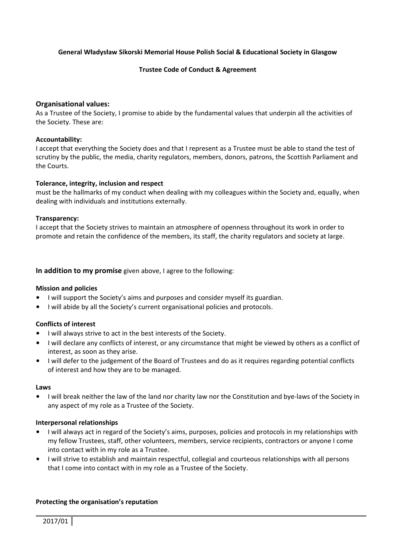## General Władysław Sikorski Memorial House Polish Social & Educational Society in Glasgow

## Trustee Code of Conduct & Agreement

## Organisational values:

As a Trustee of the Society, I promise to abide by the fundamental values that underpin all the activities of the Society. These are:

#### Accountability:

I accept that everything the Society does and that I represent as a Trustee must be able to stand the test of scrutiny by the public, the media, charity regulators, members, donors, patrons, the Scottish Parliament and the Courts.

## Tolerance, integrity, inclusion and respect

must be the hallmarks of my conduct when dealing with my colleagues within the Society and, equally, when dealing with individuals and institutions externally.

## Transparency:

I accept that the Society strives to maintain an atmosphere of openness throughout its work in order to promote and retain the confidence of the members, its staff, the charity regulators and society at large.

## In addition to my promise given above, I agree to the following:

#### Mission and policies

- I will support the Society's aims and purposes and consider myself its guardian.
- I will abide by all the Society's current organisational policies and protocols.

## Conflicts of interest

- I will always strive to act in the best interests of the Society.
- I will declare any conflicts of interest, or any circumstance that might be viewed by others as a conflict of interest, as soon as they arise.
- I will defer to the judgement of the Board of Trustees and do as it requires regarding potential conflicts of interest and how they are to be managed.

#### Laws

• I will break neither the law of the land nor charity law nor the Constitution and bye-laws of the Society in any aspect of my role as a Trustee of the Society.

#### Interpersonal relationships

- I will always act in regard of the Society's aims, purposes, policies and protocols in my relationships with my fellow Trustees, staff, other volunteers, members, service recipients, contractors or anyone I come into contact with in my role as a Trustee.
- I will strive to establish and maintain respectful, collegial and courteous relationships with all persons that I come into contact with in my role as a Trustee of the Society.

#### Protecting the organisation's reputation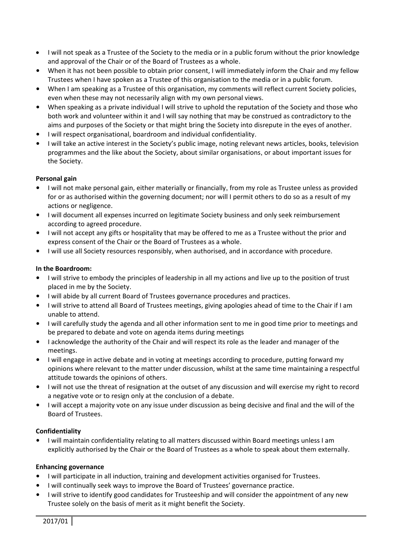- I will not speak as a Trustee of the Society to the media or in a public forum without the prior knowledge and approval of the Chair or of the Board of Trustees as a whole.
- When it has not been possible to obtain prior consent, I will immediately inform the Chair and my fellow Trustees when I have spoken as a Trustee of this organisation to the media or in a public forum.
- When I am speaking as a Trustee of this organisation, my comments will reflect current Society policies, even when these may not necessarily align with my own personal views.
- When speaking as a private individual I will strive to uphold the reputation of the Society and those who both work and volunteer within it and I will say nothing that may be construed as contradictory to the aims and purposes of the Society or that might bring the Society into disrepute in the eyes of another.
- I will respect organisational, boardroom and individual confidentiality.
- I will take an active interest in the Society's public image, noting relevant news articles, books, television programmes and the like about the Society, about similar organisations, or about important issues for the Society.

# Personal gain

- I will not make personal gain, either materially or financially, from my role as Trustee unless as provided for or as authorised within the governing document; nor will I permit others to do so as a result of my actions or negligence.
- I will document all expenses incurred on legitimate Society business and only seek reimbursement according to agreed procedure.
- I will not accept any gifts or hospitality that may be offered to me as a Trustee without the prior and express consent of the Chair or the Board of Trustees as a whole.
- I will use all Society resources responsibly, when authorised, and in accordance with procedure.

## In the Boardroom:

- I will strive to embody the principles of leadership in all my actions and live up to the position of trust placed in me by the Society.
- I will abide by all current Board of Trustees governance procedures and practices.
- I will strive to attend all Board of Trustees meetings, giving apologies ahead of time to the Chair if I am unable to attend.
- I will carefully study the agenda and all other information sent to me in good time prior to meetings and be prepared to debate and vote on agenda items during meetings
- I acknowledge the authority of the Chair and will respect its role as the leader and manager of the meetings.
- I will engage in active debate and in voting at meetings according to procedure, putting forward my opinions where relevant to the matter under discussion, whilst at the same time maintaining a respectful attitude towards the opinions of others.
- I will not use the threat of resignation at the outset of any discussion and will exercise my right to record a negative vote or to resign only at the conclusion of a debate.
- I will accept a majority vote on any issue under discussion as being decisive and final and the will of the Board of Trustees.

## Confidentiality

• I will maintain confidentiality relating to all matters discussed within Board meetings unless I am explicitly authorised by the Chair or the Board of Trustees as a whole to speak about them externally.

## Enhancing governance

- I will participate in all induction, training and development activities organised for Trustees.
- I will continually seek ways to improve the Board of Trustees' governance practice.
- I will strive to identify good candidates for Trusteeship and will consider the appointment of any new Trustee solely on the basis of merit as it might benefit the Society.